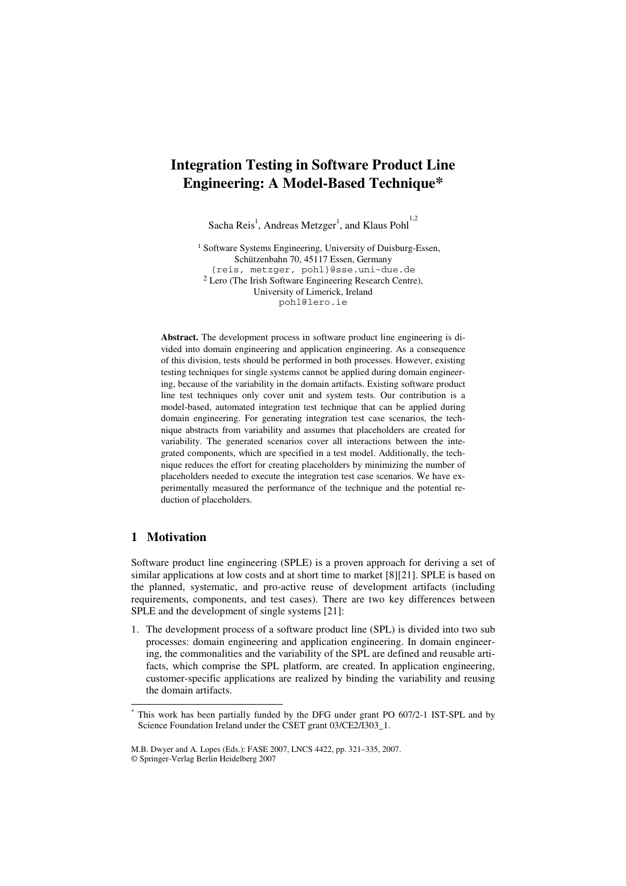# **Integration Testing in Software Product Line Engineering: A Model-Based Technique\***

Sacha Reis<sup>1</sup>, Andreas Metzger<sup>1</sup>, and Klaus Pohl<sup>1,2</sup>

<sup>1</sup> Software Systems Engineering, University of Duisburg-Essen, Schützenbahn 70, 45117 Essen, Germany {reis, metzger, pohl}@sse.uni-due.de  $2$  Lero (The Irish Software Engineering Research Centre), University of Limerick, Ireland pohl@lero.ie

**Abstract.** The development process in software product line engineering is divided into domain engineering and application engineering. As a consequence of this division, tests should be performed in both processes. However, existing testing techniques for single systems cannot be applied during domain engineering, because of the variability in the domain artifacts. Existing software product line test techniques only cover unit and system tests. Our contribution is a model-based, automated integration test technique that can be applied during domain engineering. For generating integration test case scenarios, the technique abstracts from variability and assumes that placeholders are created for variability. The generated scenarios cover all interactions between the integrated components, which are specified in a test model. Additionally, the technique reduces the effort for creating placeholders by minimizing the number of placeholders needed to execute the integration test case scenarios. We have experimentally measured the performance of the technique and the potential reduction of placeholders.

# **1 Motivation**

-

Software product line engineering (SPLE) is a proven approach for deriving a set of similar applications at low costs and at short time to market [8][21]. SPLE is based on the planned, systematic, and pro-active reuse of development artifacts (including requirements, components, and test cases). There are two key differences between SPLE and the development of single systems [21]:

1. The development process of a software product line (SPL) is divided into two sub processes: domain engineering and application engineering. In domain engineering, the commonalities and the variability of the SPL are defined and reusable artifacts, which comprise the SPL platform, are created. In application engineering, customer-specific applications are realized by binding the variability and reusing the domain artifacts.

<sup>\*</sup> This work has been partially funded by the DFG under grant PO 607/2-1 IST-SPL and by Science Foundation Ireland under the CSET grant 03/CE2/I303\_1.

M.B. Dwyer and A. Lopes (Eds.): FASE 2007, LNCS 4422, pp. 321–335, 2007.

<sup>©</sup> Springer-Verlag Berlin Heidelberg 2007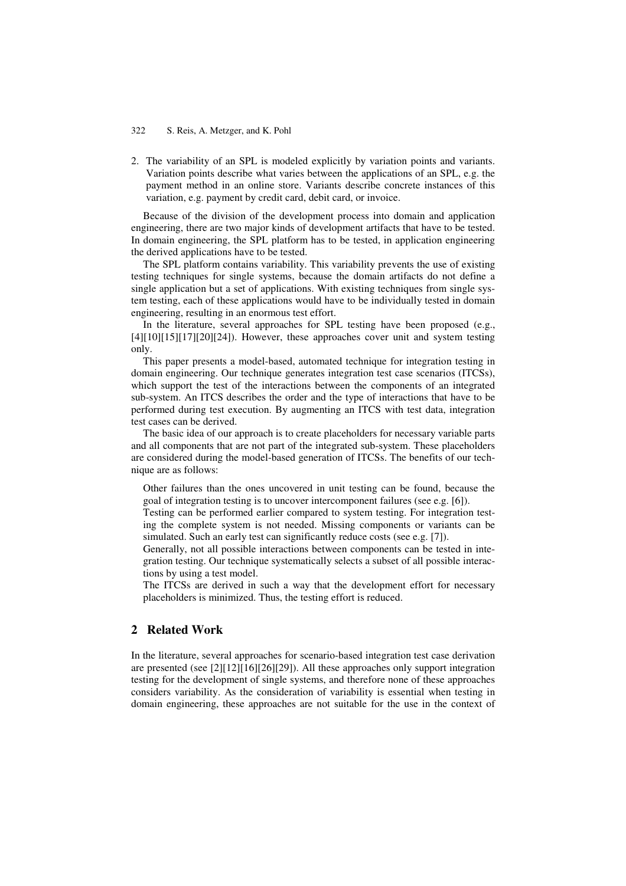2. The variability of an SPL is modeled explicitly by variation points and variants. Variation points describe what varies between the applications of an SPL, e.g. the payment method in an online store. Variants describe concrete instances of this variation, e.g. payment by credit card, debit card, or invoice.

Because of the division of the development process into domain and application engineering, there are two major kinds of development artifacts that have to be tested. In domain engineering, the SPL platform has to be tested, in application engineering the derived applications have to be tested.

The SPL platform contains variability. This variability prevents the use of existing testing techniques for single systems, because the domain artifacts do not define a single application but a set of applications. With existing techniques from single system testing, each of these applications would have to be individually tested in domain engineering, resulting in an enormous test effort.

In the literature, several approaches for SPL testing have been proposed (e.g.,  $[4][10][15][17][20][24]$ ). However, these approaches cover unit and system testing only.

This paper presents a model-based, automated technique for integration testing in domain engineering. Our technique generates integration test case scenarios (ITCSs), which support the test of the interactions between the components of an integrated sub-system. An ITCS describes the order and the type of interactions that have to be performed during test execution. By augmenting an ITCS with test data, integration test cases can be derived.

The basic idea of our approach is to create placeholders for necessary variable parts and all components that are not part of the integrated sub-system. These placeholders are considered during the model-based generation of ITCSs. The benefits of our technique are as follows:

 Other failures than the ones uncovered in unit testing can be found, because the goal of integration testing is to uncover intercomponent failures (see e.g. [6]).

 Testing can be performed earlier compared to system testing. For integration testing the complete system is not needed. Missing components or variants can be simulated. Such an early test can significantly reduce costs (see e.g. [7]).

 Generally, not all possible interactions between components can be tested in integration testing. Our technique systematically selects a subset of all possible interactions by using a test model.

 The ITCSs are derived in such a way that the development effort for necessary placeholders is minimized. Thus, the testing effort is reduced.

# **2 Related Work**

In the literature, several approaches for scenario-based integration test case derivation are presented (see [2][12][16][26][29]). All these approaches only support integration testing for the development of single systems, and therefore none of these approaches considers variability. As the consideration of variability is essential when testing in domain engineering, these approaches are not suitable for the use in the context of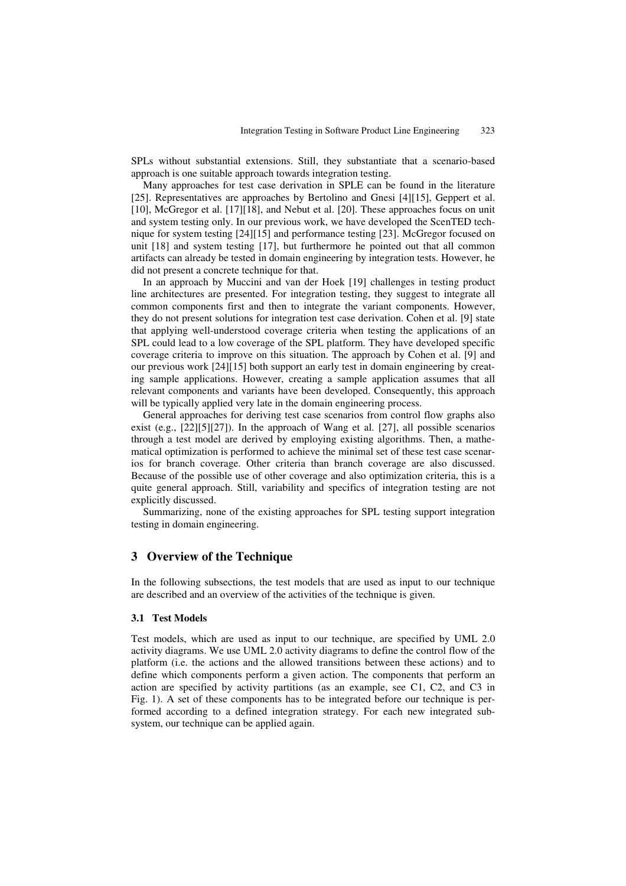SPLs without substantial extensions. Still, they substantiate that a scenario-based approach is one suitable approach towards integration testing.

Many approaches for test case derivation in SPLE can be found in the literature [25]. Representatives are approaches by Bertolino and Gnesi [4][15], Geppert et al. [10], McGregor et al. [17][18], and Nebut et al. [20]. These approaches focus on unit and system testing only. In our previous work, we have developed the ScenTED technique for system testing [24][15] and performance testing [23]. McGregor focused on unit [18] and system testing [17], but furthermore he pointed out that all common artifacts can already be tested in domain engineering by integration tests. However, he did not present a concrete technique for that.

In an approach by Muccini and van der Hoek [19] challenges in testing product line architectures are presented. For integration testing, they suggest to integrate all common components first and then to integrate the variant components. However, they do not present solutions for integration test case derivation. Cohen et al. [9] state that applying well-understood coverage criteria when testing the applications of an SPL could lead to a low coverage of the SPL platform. They have developed specific coverage criteria to improve on this situation. The approach by Cohen et al. [9] and our previous work [24][15] both support an early test in domain engineering by creating sample applications. However, creating a sample application assumes that all relevant components and variants have been developed. Consequently, this approach will be typically applied very late in the domain engineering process.

General approaches for deriving test case scenarios from control flow graphs also exist (e.g.,  $[22][5][27]$ ). In the approach of Wang et al. [27], all possible scenarios through a test model are derived by employing existing algorithms. Then, a mathematical optimization is performed to achieve the minimal set of these test case scenarios for branch coverage. Other criteria than branch coverage are also discussed. Because of the possible use of other coverage and also optimization criteria, this is a quite general approach. Still, variability and specifics of integration testing are not explicitly discussed.

Summarizing, none of the existing approaches for SPL testing support integration testing in domain engineering.

### **3 Overview of the Technique**

In the following subsections, the test models that are used as input to our technique are described and an overview of the activities of the technique is given.

### **3.1 Test Models**

Test models, which are used as input to our technique, are specified by UML 2.0 activity diagrams. We use UML 2.0 activity diagrams to define the control flow of the platform (i.e. the actions and the allowed transitions between these actions) and to define which components perform a given action. The components that perform an action are specified by activity partitions (as an example, see C1, C2, and C3 in Fig. 1). A set of these components has to be integrated before our technique is performed according to a defined integration strategy. For each new integrated subsystem, our technique can be applied again.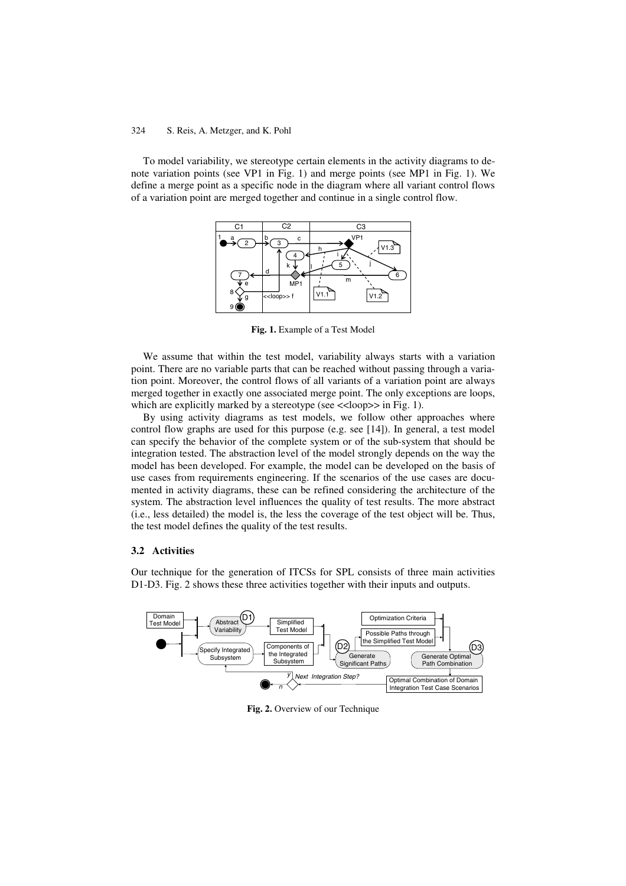To model variability, we stereotype certain elements in the activity diagrams to denote variation points (see VP1 in Fig. 1) and merge points (see MP1 in Fig. 1). We define a merge point as a specific node in the diagram where all variant control flows of a variation point are merged together and continue in a single control flow.



**Fig. 1.** Example of a Test Model

We assume that within the test model, variability always starts with a variation point. There are no variable parts that can be reached without passing through a variation point. Moreover, the control flows of all variants of a variation point are always merged together in exactly one associated merge point. The only exceptions are loops, which are explicitly marked by a stereotype (see << loop >> in Fig. 1).

By using activity diagrams as test models, we follow other approaches where control flow graphs are used for this purpose (e.g. see [14]). In general, a test model can specify the behavior of the complete system or of the sub-system that should be integration tested. The abstraction level of the model strongly depends on the way the model has been developed. For example, the model can be developed on the basis of use cases from requirements engineering. If the scenarios of the use cases are documented in activity diagrams, these can be refined considering the architecture of the system. The abstraction level influences the quality of test results. The more abstract (i.e., less detailed) the model is, the less the coverage of the test object will be. Thus, the test model defines the quality of the test results.

#### **3.2 Activities**

Our technique for the generation of ITCSs for SPL consists of three main activities D1-D3. Fig. 2 shows these three activities together with their inputs and outputs.



**Fig. 2.** Overview of our Technique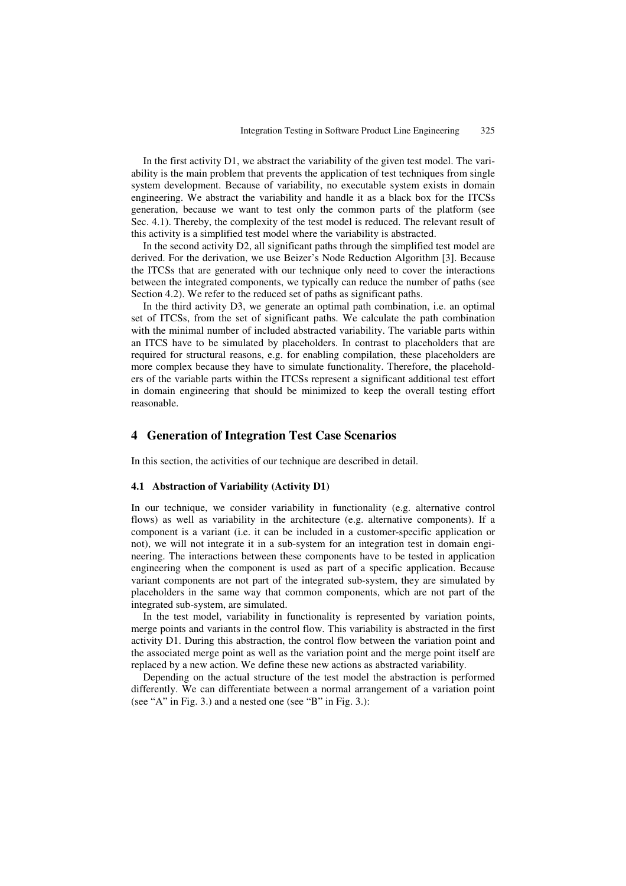In the first activity D1, we abstract the variability of the given test model. The variability is the main problem that prevents the application of test techniques from single system development. Because of variability, no executable system exists in domain engineering. We abstract the variability and handle it as a black box for the ITCSs generation, because we want to test only the common parts of the platform (see Sec. 4.1). Thereby, the complexity of the test model is reduced. The relevant result of this activity is a simplified test model where the variability is abstracted.

In the second activity D2, all significant paths through the simplified test model are derived. For the derivation, we use Beizer's Node Reduction Algorithm [3]. Because the ITCSs that are generated with our technique only need to cover the interactions between the integrated components, we typically can reduce the number of paths (see Section 4.2). We refer to the reduced set of paths as significant paths.

In the third activity D3, we generate an optimal path combination, i.e. an optimal set of ITCSs, from the set of significant paths. We calculate the path combination with the minimal number of included abstracted variability. The variable parts within an ITCS have to be simulated by placeholders. In contrast to placeholders that are required for structural reasons, e.g. for enabling compilation, these placeholders are more complex because they have to simulate functionality. Therefore, the placeholders of the variable parts within the ITCSs represent a significant additional test effort in domain engineering that should be minimized to keep the overall testing effort reasonable.

# **4 Generation of Integration Test Case Scenarios**

In this section, the activities of our technique are described in detail.

#### **4.1 Abstraction of Variability (Activity D1)**

In our technique, we consider variability in functionality (e.g. alternative control flows) as well as variability in the architecture (e.g. alternative components). If a component is a variant (i.e. it can be included in a customer-specific application or not), we will not integrate it in a sub-system for an integration test in domain engineering. The interactions between these components have to be tested in application engineering when the component is used as part of a specific application. Because variant components are not part of the integrated sub-system, they are simulated by placeholders in the same way that common components, which are not part of the integrated sub-system, are simulated.

In the test model, variability in functionality is represented by variation points, merge points and variants in the control flow. This variability is abstracted in the first activity D1. During this abstraction, the control flow between the variation point and the associated merge point as well as the variation point and the merge point itself are replaced by a new action. We define these new actions as abstracted variability.

Depending on the actual structure of the test model the abstraction is performed differently. We can differentiate between a normal arrangement of a variation point (see "A" in Fig. 3.) and a nested one (see "B" in Fig. 3.):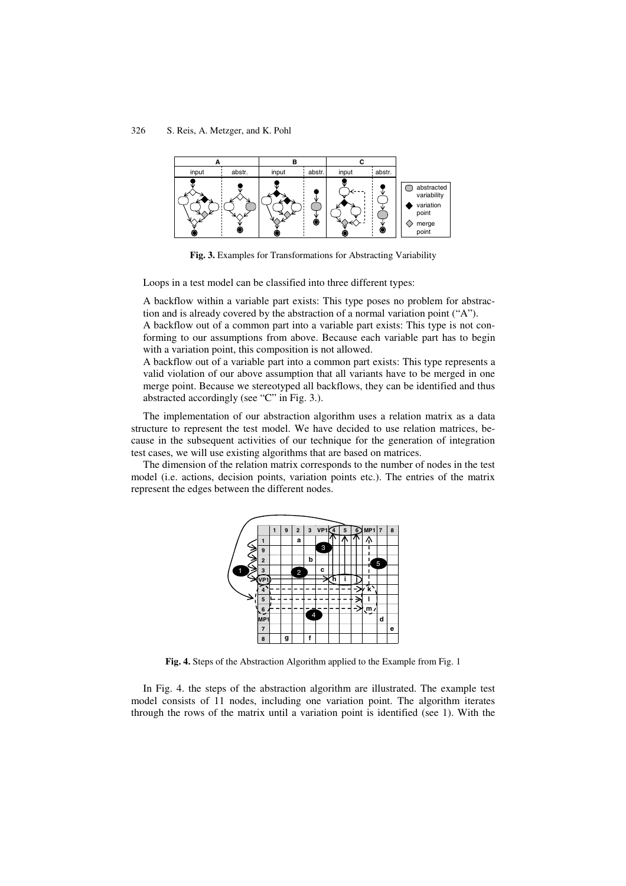

**Fig. 3.** Examples for Transformations for Abstracting Variability

Loops in a test model can be classified into three different types:

 A backflow within a variable part exists: This type poses no problem for abstraction and is already covered by the abstraction of a normal variation point ("A").

 A backflow out of a common part into a variable part exists: This type is not conforming to our assumptions from above. Because each variable part has to begin with a variation point, this composition is not allowed.

 A backflow out of a variable part into a common part exists: This type represents a valid violation of our above assumption that all variants have to be merged in one merge point. Because we stereotyped all backflows, they can be identified and thus abstracted accordingly (see "C" in Fig. 3.).

The implementation of our abstraction algorithm uses a relation matrix as a data structure to represent the test model. We have decided to use relation matrices, because in the subsequent activities of our technique for the generation of integration test cases, we will use existing algorithms that are based on matrices.

The dimension of the relation matrix corresponds to the number of nodes in the test model (i.e. actions, decision points, variation points etc.). The entries of the matrix represent the edges between the different nodes.



**Fig. 4.** Steps of the Abstraction Algorithm applied to the Example from Fig. 1

In Fig. 4. the steps of the abstraction algorithm are illustrated. The example test model consists of 11 nodes, including one variation point. The algorithm iterates through the rows of the matrix until a variation point is identified (see 1). With the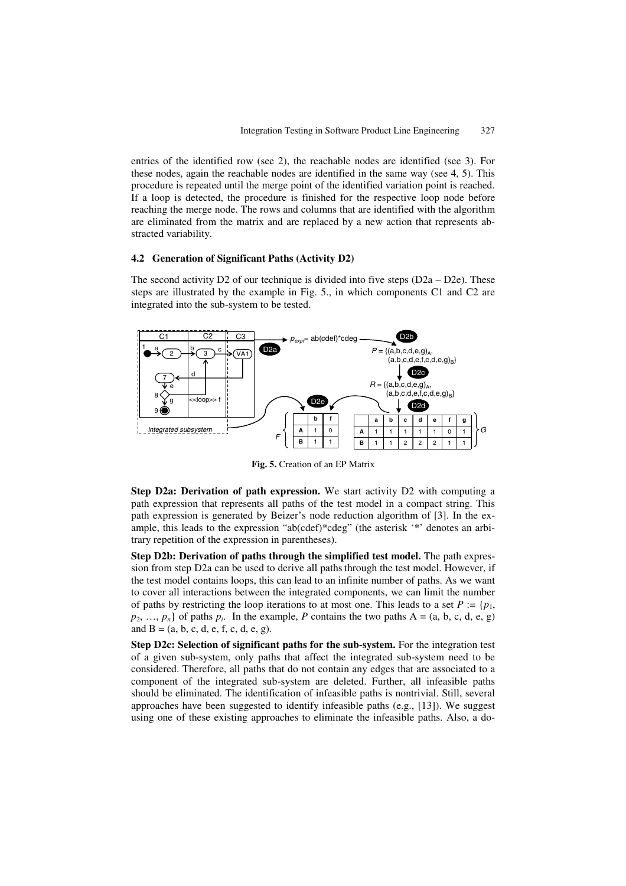entries of the identified row (see 2), the reachable nodes are identified (see 3). For these nodes, again the reachable nodes are identified in the same way (see 4, 5). This procedure is repeated until the merge point of the identified variation point is reached. If a loop is detected, the procedure is finished for the respective loop node before reaching the merge node. The rows and columns that are identified with the algorithm are eliminated from the matrix and are replaced by a new action that represents abstracted variability.

#### **4.2 Generation of Significant Paths (Activity D2)**

The second activity D2 of our technique is divided into five steps  $(D2a - D2e)$ . These steps are illustrated by the example in Fig. 5., in which components C1 and C2 are integrated into the sub-system to be tested.



**Fig. 5.** Creation of an EP Matrix

**Step D2a: Derivation of path expression.** We start activity D2 with computing a path expression that represents all paths of the test model in a compact string. This path expression is generated by Beizer's node reduction algorithm of [3]. In the example, this leads to the expression "ab(cdef)\*cdeg" (the asterisk '\*' denotes an arbitrary repetition of the expression in parentheses).

**Step D2b: Derivation of paths through the simplified test model.** The path expression from step D2a can be used to derive all paths through the test model. However, if the test model contains loops, this can lead to an infinite number of paths. As we want to cover all interactions between the integrated components, we can limit the number of paths by restricting the loop iterations to at most one. This leads to a set  $P := \{p_1,$  $p_2, \ldots, p_n$  of paths  $p_i$ . In the example, *P* contains the two paths A = (a, b, c, d, e, g) and  $B = (a, b, c, d, e, f, c, d, e, g)$ .

**Step D2c: Selection of significant paths for the sub-system.** For the integration test of a given sub-system, only paths that affect the integrated sub-system need to be considered. Therefore, all paths that do not contain any edges that are associated to a component of the integrated sub-system are deleted. Further, all infeasible paths should be eliminated. The identification of infeasible paths is nontrivial. Still, several approaches have been suggested to identify infeasible paths (e.g., [13]). We suggest using one of these existing approaches to eliminate the infeasible paths. Also, a do-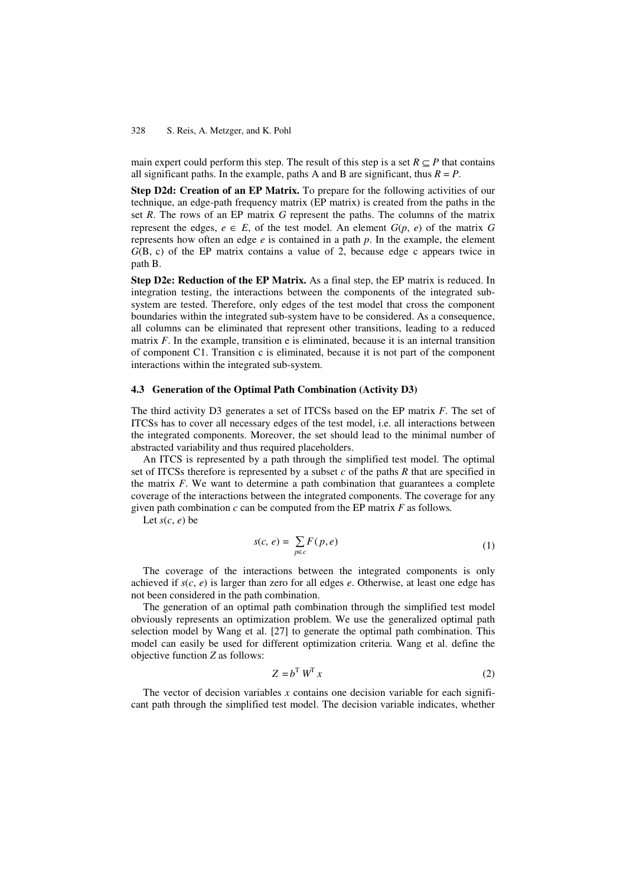main expert could perform this step. The result of this step is a set  $R \subset P$  that contains all significant paths. In the example, paths A and B are significant, thus  $R = P$ .

**Step D2d: Creation of an EP Matrix.** To prepare for the following activities of our technique, an edge-path frequency matrix (EP matrix) is created from the paths in the set *R*. The rows of an EP matrix *G* represent the paths. The columns of the matrix represent the edges,  $e \in E$ , of the test model. An element  $G(p, e)$  of the matrix G represents how often an edge *e* is contained in a path *p*. In the example, the element *G*(B, c) of the EP matrix contains a value of 2, because edge c appears twice in path B.

**Step D2e: Reduction of the EP Matrix.** As a final step, the EP matrix is reduced. In integration testing, the interactions between the components of the integrated subsystem are tested. Therefore, only edges of the test model that cross the component boundaries within the integrated sub-system have to be considered. As a consequence, all columns can be eliminated that represent other transitions, leading to a reduced matrix *F*. In the example, transition e is eliminated, because it is an internal transition of component C1. Transition c is eliminated, because it is not part of the component interactions within the integrated sub-system.

#### **4.3 Generation of the Optimal Path Combination (Activity D3)**

The third activity D3 generates a set of ITCSs based on the EP matrix *F*. The set of ITCSs has to cover all necessary edges of the test model, i.e. all interactions between the integrated components. Moreover, the set should lead to the minimal number of abstracted variability and thus required placeholders.

An ITCS is represented by a path through the simplified test model. The optimal set of ITCSs therefore is represented by a subset *c* of the paths *R* that are specified in the matrix  $F$ . We want to determine a path combination that guarantees a complete coverage of the interactions between the integrated components. The coverage for any given path combination *c* can be computed from the EP matrix *F* as follows*.* 

Let  $s(c, e)$  be

$$
s(c, e) = \sum_{p \in c} F(p, e)
$$
 (1)

The coverage of the interactions between the integrated components is only achieved if  $s(c, e)$  is larger than zero for all edges  $e$ . Otherwise, at least one edge has not been considered in the path combination.

The generation of an optimal path combination through the simplified test model obviously represents an optimization problem. We use the generalized optimal path selection model by Wang et al. [27] to generate the optimal path combination. This model can easily be used for different optimization criteria. Wang et al. define the objective function *Z* as follows:

$$
Z = b^{\mathrm{T}} W^{\mathrm{T}} x \tag{2}
$$

The vector of decision variables  $x$  contains one decision variable for each significant path through the simplified test model. The decision variable indicates, whether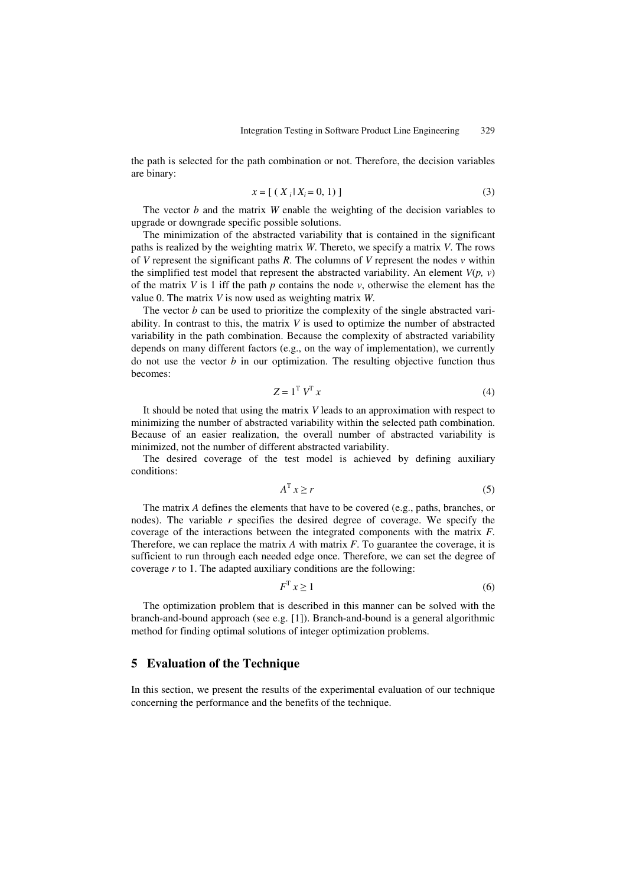the path is selected for the path combination or not. Therefore, the decision variables are binary:

$$
x = [ (X_i | X_i = 0, 1) ]
$$
 (3)

The vector *b* and the matrix *W* enable the weighting of the decision variables to upgrade or downgrade specific possible solutions.

The minimization of the abstracted variability that is contained in the significant paths is realized by the weighting matrix *W*. Thereto, we specify a matrix *V*. The rows of *V* represent the significant paths *R*. The columns of *V* represent the nodes *v* within the simplified test model that represent the abstracted variability. An element  $V(p, v)$ of the matrix  $V$  is 1 iff the path  $p$  contains the node  $v$ , otherwise the element has the value 0. The matrix *V* is now used as weighting matrix *W*.

The vector *b* can be used to prioritize the complexity of the single abstracted variability. In contrast to this, the matrix *V* is used to optimize the number of abstracted variability in the path combination. Because the complexity of abstracted variability depends on many different factors (e.g., on the way of implementation), we currently do not use the vector *b* in our optimization. The resulting objective function thus becomes:

$$
Z = 1T VT x
$$
 (4)

It should be noted that using the matrix *V* leads to an approximation with respect to minimizing the number of abstracted variability within the selected path combination. Because of an easier realization, the overall number of abstracted variability is minimized, not the number of different abstracted variability.

The desired coverage of the test model is achieved by defining auxiliary conditions:

$$
A^{\mathrm{T}} x \ge r \tag{5}
$$

The matrix *A* defines the elements that have to be covered (e.g., paths, branches, or nodes). The variable *r* specifies the desired degree of coverage. We specify the coverage of the interactions between the integrated components with the matrix *F*. Therefore, we can replace the matrix *A* with matrix *F*. To guarantee the coverage, it is sufficient to run through each needed edge once. Therefore, we can set the degree of coverage *r* to 1. The adapted auxiliary conditions are the following:

$$
F^{\mathrm{T}} x \ge 1 \tag{6}
$$

The optimization problem that is described in this manner can be solved with the branch-and-bound approach (see e.g. [1]). Branch-and-bound is a general algorithmic method for finding optimal solutions of integer optimization problems.

## **5 Evaluation of the Technique**

In this section, we present the results of the experimental evaluation of our technique concerning the performance and the benefits of the technique.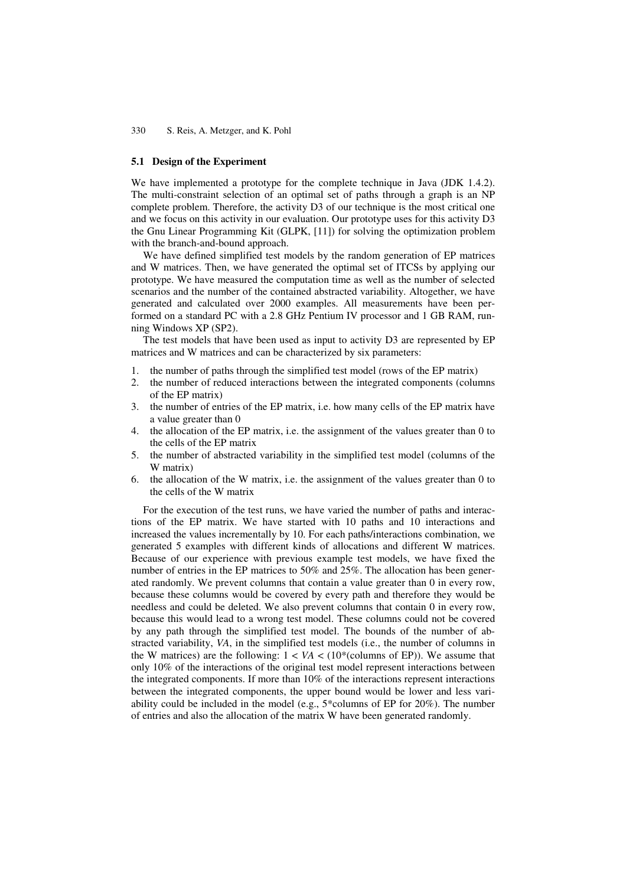#### **5.1 Design of the Experiment**

We have implemented a prototype for the complete technique in Java (JDK 1.4.2). The multi-constraint selection of an optimal set of paths through a graph is an NP complete problem. Therefore, the activity D3 of our technique is the most critical one and we focus on this activity in our evaluation. Our prototype uses for this activity D3 the Gnu Linear Programming Kit (GLPK, [11]) for solving the optimization problem with the branch-and-bound approach.

We have defined simplified test models by the random generation of EP matrices and W matrices. Then, we have generated the optimal set of ITCSs by applying our prototype. We have measured the computation time as well as the number of selected scenarios and the number of the contained abstracted variability. Altogether, we have generated and calculated over 2000 examples. All measurements have been performed on a standard PC with a 2.8 GHz Pentium IV processor and 1 GB RAM, running Windows XP (SP2).

The test models that have been used as input to activity D3 are represented by EP matrices and W matrices and can be characterized by six parameters:

- 1. the number of paths through the simplified test model (rows of the EP matrix)
- 2. the number of reduced interactions between the integrated components (columns of the EP matrix)
- 3. the number of entries of the EP matrix, i.e. how many cells of the EP matrix have a value greater than 0
- 4. the allocation of the EP matrix, i.e. the assignment of the values greater than 0 to the cells of the EP matrix
- 5. the number of abstracted variability in the simplified test model (columns of the W matrix)
- 6. the allocation of the W matrix, i.e. the assignment of the values greater than 0 to the cells of the W matrix

For the execution of the test runs, we have varied the number of paths and interactions of the EP matrix. We have started with 10 paths and 10 interactions and increased the values incrementally by 10. For each paths/interactions combination, we generated 5 examples with different kinds of allocations and different W matrices. Because of our experience with previous example test models, we have fixed the number of entries in the EP matrices to 50% and 25%. The allocation has been generated randomly. We prevent columns that contain a value greater than 0 in every row, because these columns would be covered by every path and therefore they would be needless and could be deleted. We also prevent columns that contain 0 in every row, because this would lead to a wrong test model. These columns could not be covered by any path through the simplified test model. The bounds of the number of abstracted variability, *VA*, in the simplified test models (i.e., the number of columns in the W matrices) are the following:  $1 < VA < (10<sup>*</sup>(columns of EP))$ . We assume that only 10% of the interactions of the original test model represent interactions between the integrated components. If more than 10% of the interactions represent interactions between the integrated components, the upper bound would be lower and less variability could be included in the model (e.g., 5\*columns of EP for 20%). The number of entries and also the allocation of the matrix W have been generated randomly.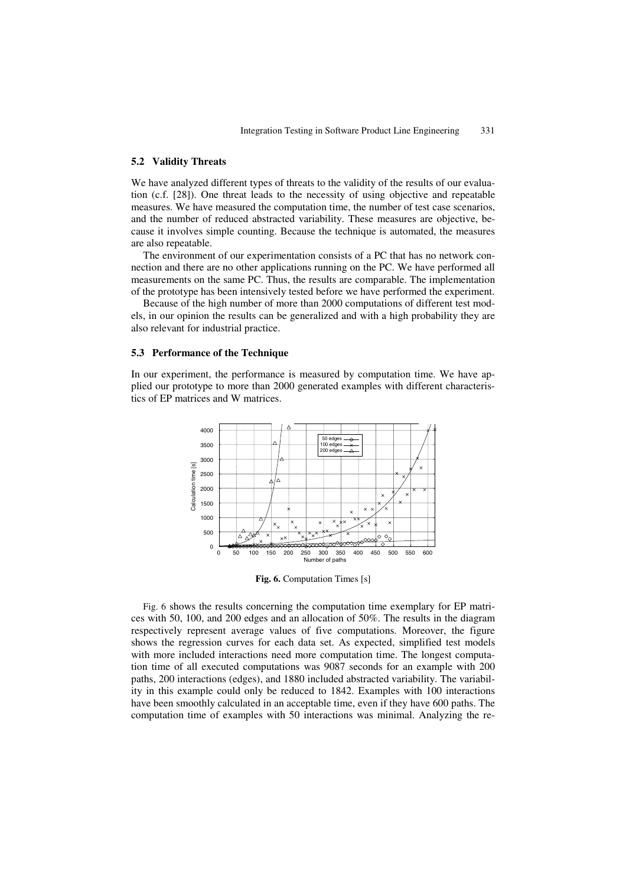#### **5.2 Validity Threats**

We have analyzed different types of threats to the validity of the results of our evaluation (c.f. [28]). One threat leads to the necessity of using objective and repeatable measures. We have measured the computation time, the number of test case scenarios, and the number of reduced abstracted variability. These measures are objective, because it involves simple counting. Because the technique is automated, the measures are also repeatable.

The environment of our experimentation consists of a PC that has no network connection and there are no other applications running on the PC. We have performed all measurements on the same PC. Thus, the results are comparable. The implementation of the prototype has been intensively tested before we have performed the experiment.

Because of the high number of more than 2000 computations of different test models, in our opinion the results can be generalized and with a high probability they are also relevant for industrial practice.

#### **5.3 Performance of the Technique**

In our experiment, the performance is measured by computation time. We have applied our prototype to more than 2000 generated examples with different characteristics of EP matrices and W matrices.



**Fig. 6.** Computation Times [s]

Fig. 6 shows the results concerning the computation time exemplary for EP matrices with 50, 100, and 200 edges and an allocation of 50%. The results in the diagram respectively represent average values of five computations. Moreover, the figure shows the regression curves for each data set. As expected, simplified test models with more included interactions need more computation time. The longest computation time of all executed computations was 9087 seconds for an example with 200 paths, 200 interactions (edges), and 1880 included abstracted variability. The variability in this example could only be reduced to 1842. Examples with 100 interactions have been smoothly calculated in an acceptable time, even if they have 600 paths. The computation time of examples with 50 interactions was minimal. Analyzing the re-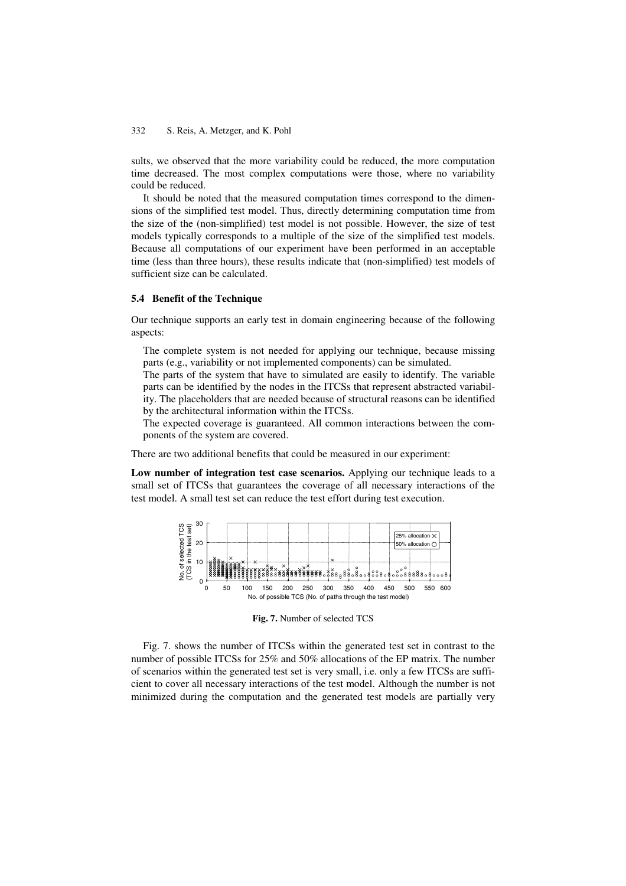sults, we observed that the more variability could be reduced, the more computation time decreased. The most complex computations were those, where no variability could be reduced.

It should be noted that the measured computation times correspond to the dimensions of the simplified test model. Thus, directly determining computation time from the size of the (non-simplified) test model is not possible. However, the size of test models typically corresponds to a multiple of the size of the simplified test models. Because all computations of our experiment have been performed in an acceptable time (less than three hours), these results indicate that (non-simplified) test models of sufficient size can be calculated.

### **5.4 Benefit of the Technique**

Our technique supports an early test in domain engineering because of the following aspects:

 The complete system is not needed for applying our technique, because missing parts (e.g., variability or not implemented components) can be simulated.

 The parts of the system that have to simulated are easily to identify. The variable parts can be identified by the nodes in the ITCSs that represent abstracted variability. The placeholders that are needed because of structural reasons can be identified by the architectural information within the ITCSs.

 The expected coverage is guaranteed. All common interactions between the components of the system are covered.

There are two additional benefits that could be measured in our experiment:

**Low number of integration test case scenarios.** Applying our technique leads to a small set of ITCSs that guarantees the coverage of all necessary interactions of the test model. A small test set can reduce the test effort during test execution.



**Fig. 7.** Number of selected TCS

Fig. 7. shows the number of ITCSs within the generated test set in contrast to the number of possible ITCSs for 25% and 50% allocations of the EP matrix. The number of scenarios within the generated test set is very small, i.e. only a few ITCSs are sufficient to cover all necessary interactions of the test model. Although the number is not minimized during the computation and the generated test models are partially very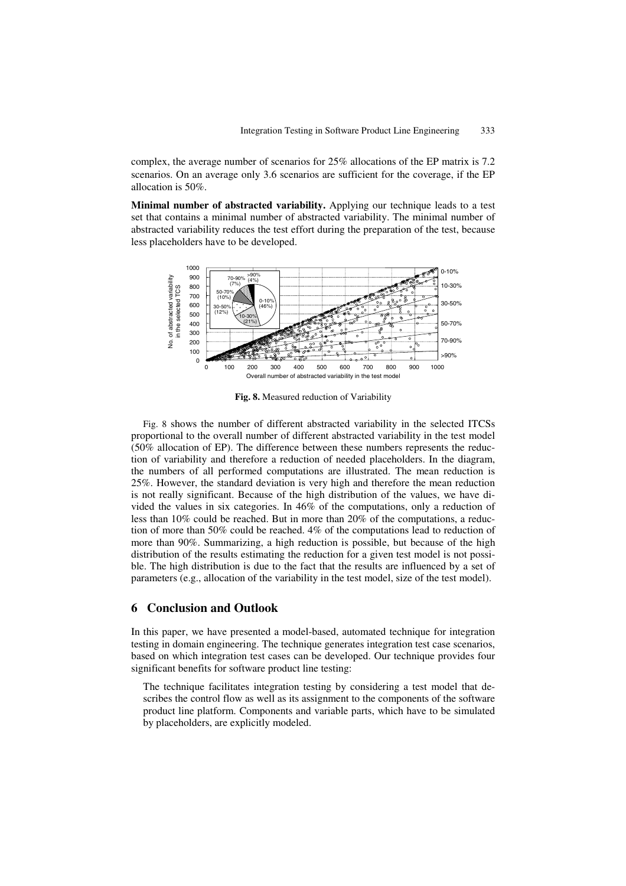complex, the average number of scenarios for 25% allocations of the EP matrix is 7.2 scenarios. On an average only 3.6 scenarios are sufficient for the coverage, if the EP allocation is 50%.

**Minimal number of abstracted variability.** Applying our technique leads to a test set that contains a minimal number of abstracted variability. The minimal number of abstracted variability reduces the test effort during the preparation of the test, because less placeholders have to be developed.



**Fig. 8.** Measured reduction of Variability

Fig. 8 shows the number of different abstracted variability in the selected ITCSs proportional to the overall number of different abstracted variability in the test model (50% allocation of EP). The difference between these numbers represents the reduction of variability and therefore a reduction of needed placeholders. In the diagram, the numbers of all performed computations are illustrated. The mean reduction is 25%. However, the standard deviation is very high and therefore the mean reduction is not really significant. Because of the high distribution of the values, we have divided the values in six categories. In 46% of the computations, only a reduction of less than 10% could be reached. But in more than 20% of the computations, a reduction of more than 50% could be reached. 4% of the computations lead to reduction of more than 90%. Summarizing, a high reduction is possible, but because of the high distribution of the results estimating the reduction for a given test model is not possible. The high distribution is due to the fact that the results are influenced by a set of parameters (e.g., allocation of the variability in the test model, size of the test model).

### **6 Conclusion and Outlook**

In this paper, we have presented a model-based, automated technique for integration testing in domain engineering. The technique generates integration test case scenarios, based on which integration test cases can be developed. Our technique provides four significant benefits for software product line testing:

 The technique facilitates integration testing by considering a test model that describes the control flow as well as its assignment to the components of the software product line platform. Components and variable parts, which have to be simulated by placeholders, are explicitly modeled.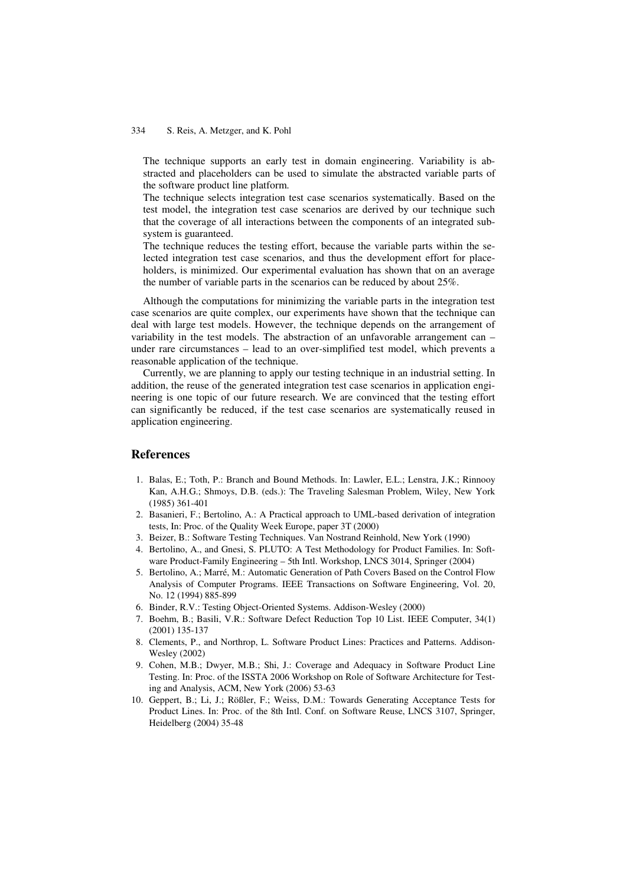The technique supports an early test in domain engineering. Variability is abstracted and placeholders can be used to simulate the abstracted variable parts of the software product line platform.

 The technique selects integration test case scenarios systematically. Based on the test model, the integration test case scenarios are derived by our technique such that the coverage of all interactions between the components of an integrated subsystem is guaranteed.

 The technique reduces the testing effort, because the variable parts within the selected integration test case scenarios, and thus the development effort for placeholders, is minimized. Our experimental evaluation has shown that on an average the number of variable parts in the scenarios can be reduced by about 25%.

Although the computations for minimizing the variable parts in the integration test case scenarios are quite complex, our experiments have shown that the technique can deal with large test models. However, the technique depends on the arrangement of variability in the test models. The abstraction of an unfavorable arrangement can – under rare circumstances – lead to an over-simplified test model, which prevents a reasonable application of the technique.

Currently, we are planning to apply our testing technique in an industrial setting. In addition, the reuse of the generated integration test case scenarios in application engineering is one topic of our future research. We are convinced that the testing effort can significantly be reduced, if the test case scenarios are systematically reused in application engineering.

### **References**

- 1. Balas, E.; Toth, P.: Branch and Bound Methods. In: Lawler, E.L.; Lenstra, J.K.; Rinnooy Kan, A.H.G.; Shmoys, D.B. (eds.): The Traveling Salesman Problem, Wiley, New York (1985) 361-401
- 2. Basanieri, F.; Bertolino, A.: A Practical approach to UML-based derivation of integration tests, In: Proc. of the Quality Week Europe, paper 3T (2000)
- 3. Beizer, B.: Software Testing Techniques. Van Nostrand Reinhold, New York (1990)
- 4. Bertolino, A., and Gnesi, S. PLUTO: A Test Methodology for Product Families. In: Software Product-Family Engineering – 5th Intl. Workshop, LNCS 3014, Springer (2004)
- 5. Bertolino, A.; Marré, M.: Automatic Generation of Path Covers Based on the Control Flow Analysis of Computer Programs. IEEE Transactions on Software Engineering, Vol. 20, No. 12 (1994) 885-899
- 6. Binder, R.V.: Testing Object-Oriented Systems. Addison-Wesley (2000)
- 7. Boehm, B.; Basili, V.R.: Software Defect Reduction Top 10 List. IEEE Computer, 34(1) (2001) 135-137
- 8. Clements, P., and Northrop, L. Software Product Lines: Practices and Patterns. Addison-Wesley (2002)
- 9. Cohen, M.B.; Dwyer, M.B.; Shi, J.: Coverage and Adequacy in Software Product Line Testing. In: Proc. of the ISSTA 2006 Workshop on Role of Software Architecture for Testing and Analysis, ACM, New York (2006) 53-63
- 10. Geppert, B.; Li, J.; Rößler, F.; Weiss, D.M.: Towards Generating Acceptance Tests for Product Lines. In: Proc. of the 8th Intl. Conf. on Software Reuse, LNCS 3107, Springer, Heidelberg (2004) 35-48